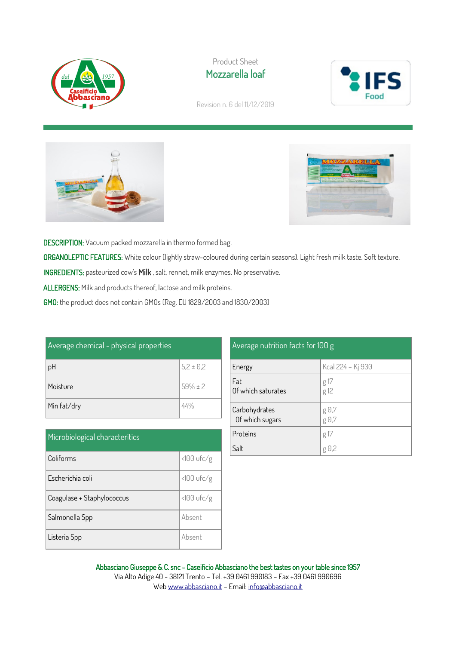

Product Sheet Mozzarella loaf



Revision n. 6 del 11/12/2019





DESCRIPTION: Vacuum packed mozzarella in thermo formed bag. ORGANOLEPTIC FEATURES: White colour (lightly straw-coloured during certain seasons). Light fresh milk taste. Soft texture. INGREDIENTS: pasteurized cow's Milk , salt, rennet, milk enzymes. No preservative. ALLERGENS: Milk and products thereof, lactose and milk proteins. GMO: the product does not contain GMOs (Reg. EU 1829/2003 and 1830/2003)

| Average chemical - physical properties |               |  |
|----------------------------------------|---------------|--|
| pH                                     | $5,2 \pm 0,2$ |  |
| Moisture                               | $59\% \pm 2$  |  |
| Min fat/dry                            | 44%           |  |

| Microbiological characteritics |              |  |
|--------------------------------|--------------|--|
| Coliforms                      | $<100$ ufc/g |  |
| Escherichia coli               | <100 ufc/g   |  |
| Coagulase + Staphylococcus     | $<100$ ufc/g |  |
| Salmonella Spp                 | Absent       |  |
| Listeria Spp                   | Absent       |  |

| Average nutrition facts for 100 g |                   |  |
|-----------------------------------|-------------------|--|
| Energy                            | Kcal 224 - Kj 930 |  |
| Fat<br>Of which saturates         | $g17$<br>$g12$    |  |
| Carbohydrates<br>Of which sugars  | g 0,7<br>g 0,7    |  |
| Proteins                          | g 17              |  |
| Salt                              | $g \theta$ ,2     |  |

Abbasciano Giuseppe & C. snc - Caseificio Abbasciano the best tastes on your table since 1957 Via Alto Adige 40 - 38121 Trento – Tel. +39 0461 990183 – Fax +39 0461 990696 We[b www.abbasciano.it](http://www.abbasciano.it/) – Email[: info@abbasciano.it](mailto:info@abbasciano.it)